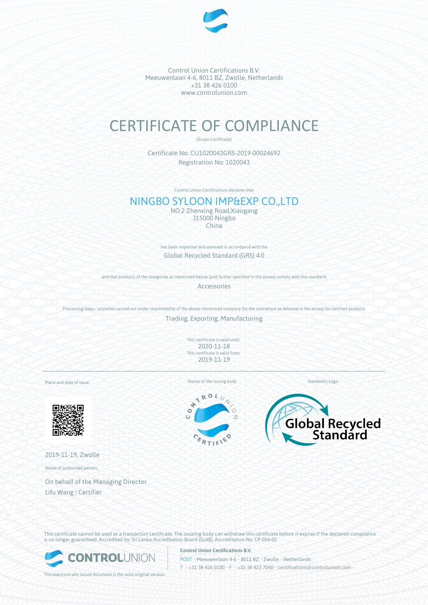

Control Union Certifications B.V. Meeuwenlaan 4-6, 8011 BZ, Zwolle, Netherlands +31 38 426 0100 www.controlunion.com

# CERTIFICATE OF COMPLIANCE

(Scope Certificate)

Certificate No: CU1020043GRS-2019-00024692 Registration No: 1020043

Control Union Certifications declares that

# NINGBO SYLOON IMP&EXP CO.,LTD

NO.2 Zhenxing Road,Xiaogang 315000 Ningbo China

has been inspected and assessed in accordance with the Global Recycled Standard (GRS) 4.0

and that products of the categories as mentioned below (and further specified in the annex) comply with this standard:

Accessories

Processing steps / activities carried out under responsibility of the above-mentioned company (by the operations as detailed in the annex) for certified products

Trading, Exporting, Manufacturing

This certificate is valid until: 2020-11-18 This certificate is valid from: 2019-11-19

Place and date of issue:



2019-11-19, Zwolle

Name of authorised person:

On behalf of the Managing Director Lifu Wang | Certifier

Stamp of the issuing body Standard's Logo

ROL  $\prec$ ÷  $\bullet$ c





This certificate cannot be used as a transaction certificate. The issueing body can withdraw this certificate before it expires if the declared compliance is no longer guaranteed. Accredited by: Sri Lanka Accreditation Board (SLAB), Accreditation No: CP 004-01



This electronically issued document is the valid original version.

**Control Union Certifications B.V.**

POST • Meeuwenlaan 4-6 • 8011 BZ • Zwolle • Netherlands T • +31 38 426 0100 • F • +31 38 423 7040 • certifications@controlunion.com •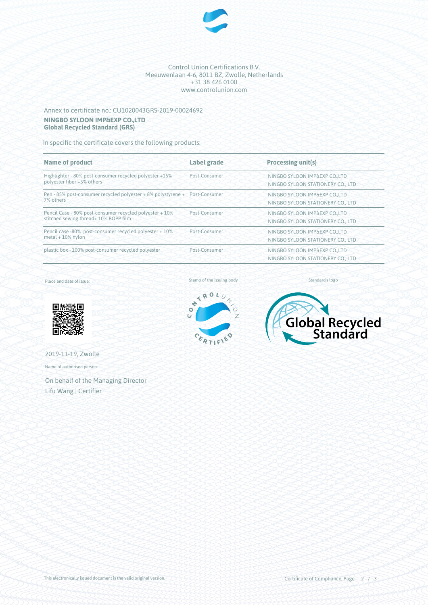

#### Control Union Certifications B.V. Meeuwenlaan 4-6, 8011 BZ, Zwolle, Netherlands +31 38 426 0100 www.controlunion.com

## Annex to certificate no.: CU1020043GRS-2019-00024692 **NINGBO SYLOON IMP&EXP CO.,LTD Global Recycled Standard (GRS)**

In specific the certificate covers the following products:

| <b>Name of product</b>                                                                            | Label grade   | <b>Processing unit(s)</b>                                          |
|---------------------------------------------------------------------------------------------------|---------------|--------------------------------------------------------------------|
| Highlighter - 80% post-consumer recycled polyester +15%<br>polyester fiber +5% others             | Post-Consumer | NINGBO SYLOON IMP&EXP COLTD<br>NINGBO SYLOON STATIONERY CO., LTD   |
| Pen - 85% post-consumer recycled polyester + 8% polystyrene + Post-Consumer<br>7% others          |               | NINGBO SYLOON IMP&EXP CO.,LTD<br>NINGBO SYLOON STATIONERY CO., LTD |
| Pencil Case - 80% post-consumer recycled polyester + 10%<br>stitched sewing thread+ 10% BOPP film | Post-Consumer | NINGBO SYLOON IMP&EXP CO.,LTD<br>NINGBO SYLOON STATIONERY CO., LTD |
| Pencil case -80% post-consumer recycled polyester + 10%<br>$metal + 10\%$ nylon                   | Post-Consumer | NINGBO SYLOON IMP&EXP CO.,LTD<br>NINGBO SYLOON STATIONERY CO., LTD |
| plastic box - 100% post-consumer recycled polyester                                               | Post-Consumer | NINGBO SYLOON IMP&EXP CO.,LTD<br>NINGBO SYLOON STATIONERY CO., LTD |

Place and date of issue:



2019-11-19, Zwolle

Name of authorised person:

On behalf of the Managing Director Lifu Wang | Certifier